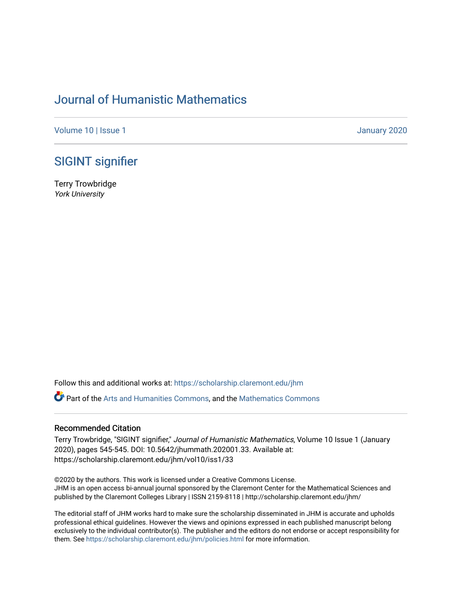# [Journal of Humanistic Mathematics](https://scholarship.claremont.edu/jhm)

[Volume 10](https://scholarship.claremont.edu/jhm/vol10) | Issue 1 January 2020

### [SIGINT signifier](https://scholarship.claremont.edu/jhm/vol10/iss1/33)

Terry Trowbridge York University

Follow this and additional works at: [https://scholarship.claremont.edu/jhm](https://scholarship.claremont.edu/jhm?utm_source=scholarship.claremont.edu%2Fjhm%2Fvol10%2Fiss1%2F33&utm_medium=PDF&utm_campaign=PDFCoverPages)

Part of the [Arts and Humanities Commons,](http://network.bepress.com/hgg/discipline/438?utm_source=scholarship.claremont.edu%2Fjhm%2Fvol10%2Fiss1%2F33&utm_medium=PDF&utm_campaign=PDFCoverPages) and the [Mathematics Commons](http://network.bepress.com/hgg/discipline/174?utm_source=scholarship.claremont.edu%2Fjhm%2Fvol10%2Fiss1%2F33&utm_medium=PDF&utm_campaign=PDFCoverPages) 

#### Recommended Citation

Terry Trowbridge, "SIGINT signifier," Journal of Humanistic Mathematics, Volume 10 Issue 1 (January 2020), pages 545-545. DOI: 10.5642/jhummath.202001.33. Available at: https://scholarship.claremont.edu/jhm/vol10/iss1/33

©2020 by the authors. This work is licensed under a Creative Commons License. JHM is an open access bi-annual journal sponsored by the Claremont Center for the Mathematical Sciences and published by the Claremont Colleges Library | ISSN 2159-8118 | http://scholarship.claremont.edu/jhm/

The editorial staff of JHM works hard to make sure the scholarship disseminated in JHM is accurate and upholds professional ethical guidelines. However the views and opinions expressed in each published manuscript belong exclusively to the individual contributor(s). The publisher and the editors do not endorse or accept responsibility for them. See<https://scholarship.claremont.edu/jhm/policies.html> for more information.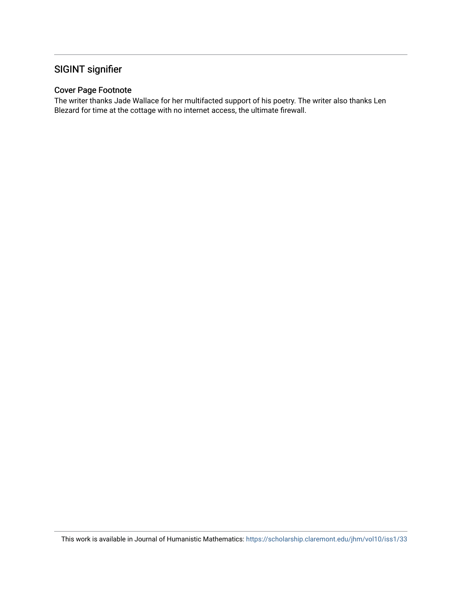## SIGINT signifier

#### Cover Page Footnote

The writer thanks Jade Wallace for her multifacted support of his poetry. The writer also thanks Len Blezard for time at the cottage with no internet access, the ultimate firewall.

This work is available in Journal of Humanistic Mathematics:<https://scholarship.claremont.edu/jhm/vol10/iss1/33>